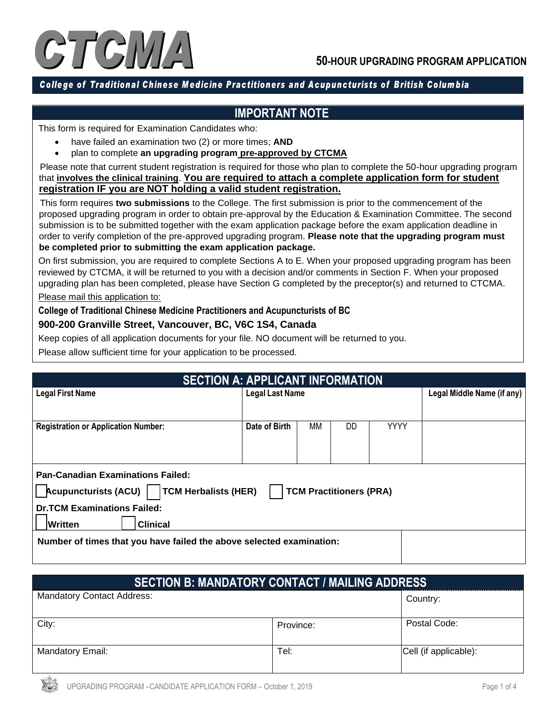

#### College of Traditional Chinese Medicine Practitioners and Acupuncturists of British Columbia

### **IMPORTANT NOTE**

This form is required for Examination Candidates who:

- have failed an examination two (2) or more times; **AND**
- plan to complete **an upgrading program pre-approved by CTCMA**

 Please note that current student registration is required for those who plan to complete the 50-hour upgrading program that **involves the clinical training**. **You are required to attach a complete application form for student registration IF you are NOT holding a valid student registration.**

 This form requires **two submissions** to the College. The first submission is prior to the commencement of the proposed upgrading program in order to obtain pre-approval by the Education & Examination Committee. The second submission is to be submitted together with the exam application package before the exam application deadline in order to verify completion of the pre-approved upgrading program. **Please note that the upgrading program must be completed prior to submitting the exam application package.**

On first submission, you are required to complete Sections A to E. When your proposed upgrading program has been reviewed by CTCMA, it will be returned to you with a decision and/or comments in Section F. When your proposed upgrading plan has been completed, please have Section G completed by the preceptor(s) and returned to CTCMA.

Please mail this application to:

#### **College of Traditional Chinese Medicine Practitioners and Acupuncturists of BC**

#### **900-200 Granville Street, Vancouver, BC, V6C 1S4, Canada**

Keep copies of all application documents for your file. NO document will be returned to you.

Please allow sufficient time for your application to be processed.

| <b>SECTION A: APPLICANT INFORMATION</b>                              |                        |    |                                |             |  |
|----------------------------------------------------------------------|------------------------|----|--------------------------------|-------------|--|
| <b>Legal First Name</b>                                              | <b>Legal Last Name</b> |    | Legal Middle Name (if any)     |             |  |
|                                                                      |                        |    |                                |             |  |
| <b>Registration or Application Number:</b>                           | Date of Birth          | ΜМ | DD                             | <b>YYYY</b> |  |
|                                                                      |                        |    |                                |             |  |
|                                                                      |                        |    |                                |             |  |
| <b>Pan-Canadian Examinations Failed:</b>                             |                        |    |                                |             |  |
| Acupuncturists (ACU)   TCM Herbalists (HER)                          |                        |    | <b>TCM Practitioners (PRA)</b> |             |  |
| <b>Dr.TCM Examinations Failed:</b>                                   |                        |    |                                |             |  |
| <b>Clinical</b><br><b>Written</b>                                    |                        |    |                                |             |  |
| Number of times that you have failed the above selected examination: |                        |    |                                |             |  |
|                                                                      |                        |    |                                |             |  |

| <b>SECTION B: MANDATORY CONTACT / MAILING ADDRESS</b> |           |                       |  |
|-------------------------------------------------------|-----------|-----------------------|--|
| <b>Mandatory Contact Address:</b>                     |           | Country:              |  |
| City:                                                 | Province: | Postal Code:          |  |
| <b>Mandatory Email:</b>                               | Tel:      | Cell (if applicable): |  |

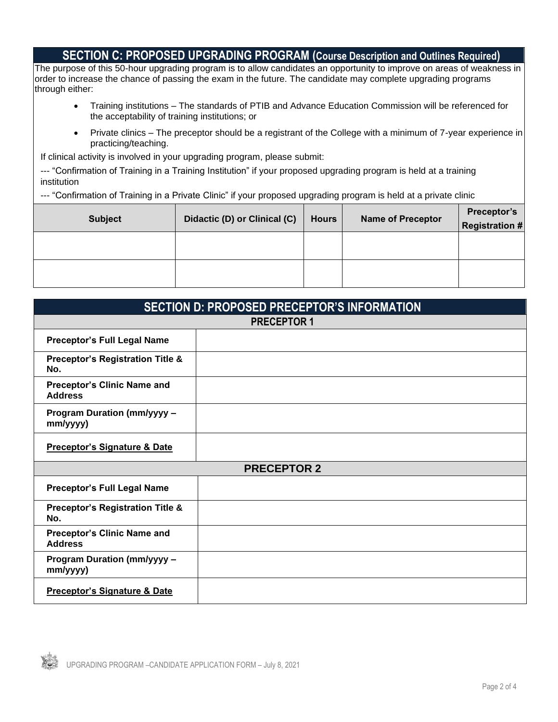### **SECTION C: PROPOSED UPGRADING PROGRAM (Course Description and Outlines Required)**

The purpose of this 50-hour upgrading program is to allow candidates an opportunity to improve on areas of weakness in order to increase the chance of passing the exam in the future. The candidate may complete upgrading programs through either:

- Training institutions The standards of PTIB and Advance Education Commission will be referenced for the acceptability of training institutions; or
- Private clinics The preceptor should be a registrant of the College with a minimum of 7-year experience in practicing/teaching.

If clinical activity is involved in your upgrading program, please submit:

|             |  | --- "Confirmation of Training in a Training Institution" if your proposed upgrading program is held at a training |  |
|-------------|--|-------------------------------------------------------------------------------------------------------------------|--|
| institution |  |                                                                                                                   |  |

--- "Confirmation of Training in a Private Clinic" if your proposed upgrading program is held at a private clinic

| <b>Subject</b> | Didactic (D) or Clinical (C) | <b>Hours</b> | <b>Name of Preceptor</b> | Preceptor's<br>Registration # |
|----------------|------------------------------|--------------|--------------------------|-------------------------------|
|                |                              |              |                          |                               |
|                |                              |              |                          |                               |

| <b>SECTION D: PROPOSED PRECEPTOR'S INFORMATION</b>   |  |  |  |  |
|------------------------------------------------------|--|--|--|--|
| <b>PRECEPTOR 1</b>                                   |  |  |  |  |
| <b>Preceptor's Full Legal Name</b>                   |  |  |  |  |
| <b>Preceptor's Registration Title &amp;</b><br>No.   |  |  |  |  |
| <b>Preceptor's Clinic Name and</b><br><b>Address</b> |  |  |  |  |
| <b>Program Duration (mm/yyyy -</b><br>mm/yyyy)       |  |  |  |  |
| <b>Preceptor's Signature &amp; Date</b>              |  |  |  |  |
| <b>PRECEPTOR 2</b>                                   |  |  |  |  |
| <b>Preceptor's Full Legal Name</b>                   |  |  |  |  |
| <b>Preceptor's Registration Title &amp;</b><br>No.   |  |  |  |  |
| <b>Preceptor's Clinic Name and</b><br><b>Address</b> |  |  |  |  |
| <b>Program Duration (mm/yyyy -</b><br>mm/yyyy)       |  |  |  |  |
| <b>Preceptor's Signature &amp; Date</b>              |  |  |  |  |